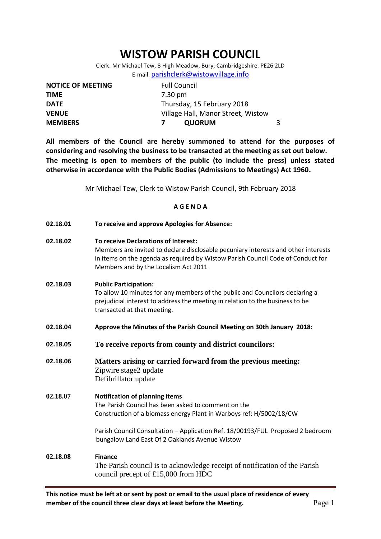## **WISTOW PARISH COUNCIL**

Clerk: Mr Michael Tew, 8 High Meadow, Bury, Cambridgeshire. PE26 2LD E-mail: [parishclerk@wistowvillage.info](mailto:parishclerk@wistowvillage.info)

| <b>NOTICE OF MEETING</b> | <b>Full Council</b>                |  |
|--------------------------|------------------------------------|--|
| <b>TIME</b>              | 7.30 pm                            |  |
| <b>DATE</b>              | Thursday, 15 February 2018         |  |
| <b>VENUE</b>             | Village Hall, Manor Street, Wistow |  |
| <b>MEMBERS</b>           | <b>QUORUM</b>                      |  |

**All members of the Council are hereby summoned to attend for the purposes of considering and resolving the business to be transacted at the meeting as set out below. The meeting is open to members of the public (to include the press) unless stated otherwise in accordance with the Public Bodies (Admissions to Meetings) Act 1960.**

Mr Michael Tew, Clerk to Wistow Parish Council, 9th February 2018

## **A G E N D A**

| 02.18.01 | To receive and approve Apologies for Absence:                                                                                                                                                                                                         |  |
|----------|-------------------------------------------------------------------------------------------------------------------------------------------------------------------------------------------------------------------------------------------------------|--|
| 02.18.02 | To receive Declarations of Interest:<br>Members are invited to declare disclosable pecuniary interests and other interests<br>in items on the agenda as required by Wistow Parish Council Code of Conduct for<br>Members and by the Localism Act 2011 |  |
| 02.18.03 | <b>Public Participation:</b><br>To allow 10 minutes for any members of the public and Councilors declaring a<br>prejudicial interest to address the meeting in relation to the business to be<br>transacted at that meeting.                          |  |
| 02.18.04 | Approve the Minutes of the Parish Council Meeting on 30th January 2018:                                                                                                                                                                               |  |
| 02.18.05 | To receive reports from county and district councilors:                                                                                                                                                                                               |  |
| 02.18.06 | Matters arising or carried forward from the previous meeting:<br>Zipwire stage2 update<br>Defibrillator update                                                                                                                                        |  |
| 02.18.07 | <b>Notification of planning items</b><br>The Parish Council has been asked to comment on the<br>Construction of a biomass energy Plant in Warboys ref: H/5002/18/CW                                                                                   |  |
|          | Parish Council Consultation - Application Ref. 18/00193/FUL Proposed 2 bedroom<br>bungalow Land East Of 2 Oaklands Avenue Wistow                                                                                                                      |  |
| 02.18.08 | <b>Finance</b><br>The Parish council is to acknowledge receipt of notification of the Parish<br>council precept of £15,000 from HDC                                                                                                                   |  |